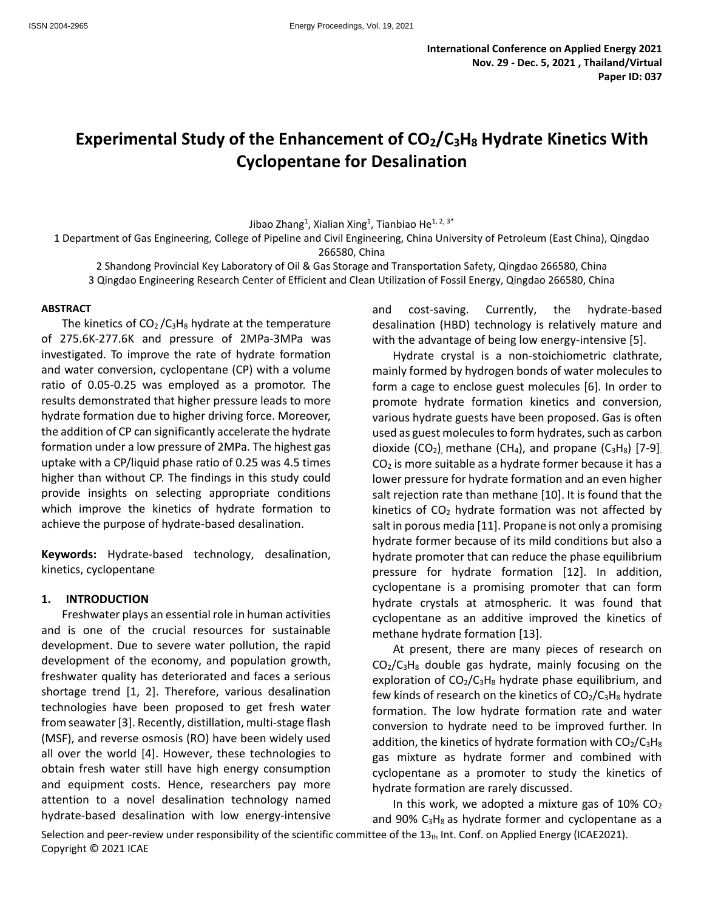# **Experimental Study of the Enhancement of CO2/C3H<sup>8</sup> Hydrate Kinetics With Cyclopentane for Desalination**

Jibao Zhang<sup>1</sup>, Xialian Xing<sup>1</sup>, Tianbiao He<sup>1, 2, 3\*</sup>

1 Department of Gas Engineering, College of Pipeline and Civil Engineering, China University of Petroleum (East China), Qingdao 266580, China

2 Shandong Provincial Key Laboratory of Oil & Gas Storage and Transportation Safety, Qingdao 266580, China 3 Qingdao Engineering Research Center of Efficient and Clean Utilization of Fossil Energy, Qingdao 266580, China

#### **ABSTRACT**

The kinetics of  $CO<sub>2</sub>/C<sub>3</sub>H<sub>8</sub>$  hydrate at the temperature of 275.6K-277.6K and pressure of 2MPa-3MPa was investigated. To improve the rate of hydrate formation and water conversion, cyclopentane (CP) with a volume ratio of 0.05-0.25 was employed as a promotor. The results demonstrated that higher pressure leads to more hydrate formation due to higher driving force. Moreover, the addition of CP can significantly accelerate the hydrate formation under a low pressure of 2MPa. The highest gas uptake with a CP/liquid phase ratio of 0.25 was 4.5 times higher than without CP. The findings in this study could provide insights on selecting appropriate conditions which improve the kinetics of hydrate formation to achieve the purpose of hydrate-based desalination.

**Keywords:** Hydrate-based technology, desalination, kinetics, cyclopentane

#### **1. INTRODUCTION**

Freshwater plays an essential role in human activities and is one of the crucial resources for sustainable development. Due to severe water pollution, the rapid development of the economy, and population growth, freshwater quality has deteriorated and faces a serious shortage trend [1, 2]. Therefore, various desalination technologies have been proposed to get fresh water from seawater [3]. Recently, distillation, multi-stage flash (MSF), and reverse osmosis (RO) have been widely used all over the world [4]. However, these technologies to obtain fresh water still have high energy consumption and equipment costs. Hence, researchers pay more attention to a novel desalination technology named hydrate-based desalination with low energy-intensive and cost-saving. Currently, the hydrate-based desalination (HBD) technology is relatively mature and with the advantage of being low energy-intensive [5].

Hydrate crystal is a non-stoichiometric clathrate, mainly formed by hydrogen bonds of water molecules to form a cage to enclose guest molecules [6]. In order to promote hydrate formation kinetics and conversion, various hydrate guests have been proposed. Gas is often used as guest molecules to form hydrates, such as carbon dioxide (CO<sub>2</sub>) methane (CH<sub>4</sub>), and propane (C<sub>3</sub>H<sub>8</sub>) [7-9]  $CO<sub>2</sub>$  is more suitable as a hydrate former because it has a lower pressure for hydrate formation and an even higher salt rejection rate than methane [10]. It is found that the kinetics of  $CO<sub>2</sub>$  hydrate formation was not affected by salt in porous media [11]. Propane is not only a promising hydrate former because of its mild conditions but also a hydrate promoter that can reduce the phase equilibrium pressure for hydrate formation [12]. In addition, cyclopentane is a promising promoter that can form hydrate crystals at atmospheric. It was found that cyclopentane as an additive improved the kinetics of methane hydrate formation [13].

At present, there are many pieces of research on  $CO<sub>2</sub>/C<sub>3</sub>H<sub>8</sub>$  double gas hydrate, mainly focusing on the exploration of  $CO<sub>2</sub>/C<sub>3</sub>H<sub>8</sub>$  hydrate phase equilibrium, and few kinds of research on the kinetics of  $CO<sub>2</sub>/C<sub>3</sub>H<sub>8</sub>$  hydrate formation. The low hydrate formation rate and water conversion to hydrate need to be improved further. In addition, the kinetics of hydrate formation with  $CO<sub>2</sub>/C<sub>3</sub>H<sub>8</sub>$ gas mixture as hydrate former and combined with cyclopentane as a promoter to study the kinetics of hydrate formation are rarely discussed.

In this work, we adopted a mixture gas of  $10\%$  CO<sub>2</sub> and 90%  $C_3H_8$  as hydrate former and cyclopentane as a

Selection and peer-review under responsibility of the scientific committee of the  $13<sub>th</sub>$  Int. Conf. on Applied Energy (ICAE2021). Copyright © 2021 ICAE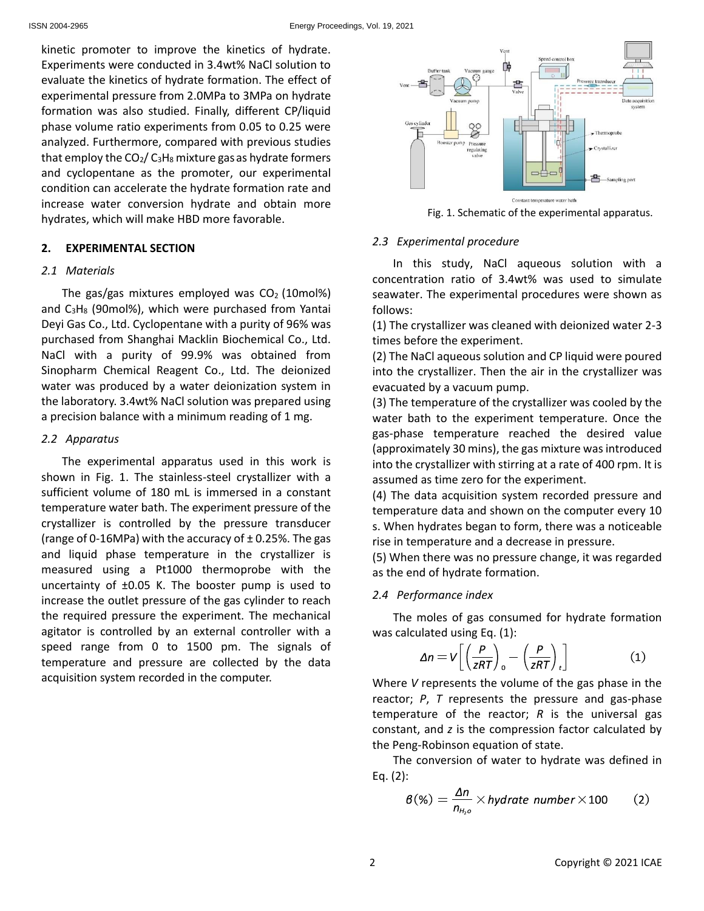kinetic promoter to improve the kinetics of hydrate. Experiments were conducted in 3.4wt% NaCl solution to evaluate the kinetics of hydrate formation. The effect of experimental pressure from 2.0MPa to 3MPa on hydrate formation was also studied. Finally, different CP/liquid phase volume ratio experiments from 0.05 to 0.25 were analyzed. Furthermore, compared with previous studies that employ the  $CO<sub>2</sub>/ C<sub>3</sub>H<sub>8</sub>$  mixture gas as hydrate formers and cyclopentane as the promoter, our experimental condition can accelerate the hydrate formation rate and increase water conversion hydrate and obtain more hydrates, which will make HBD more favorable.

## **2. EXPERIMENTAL SECTION**

#### *2.1 Materials*

The gas/gas mixtures employed was  $CO<sub>2</sub>$  (10mol%) and  $C_3H_8$  (90mol%), which were purchased from Yantai Deyi Gas Co., Ltd. Cyclopentane with a purity of 96% was purchased from Shanghai Macklin Biochemical Co., Ltd. NaCl with a purity of 99.9% was obtained from Sinopharm Chemical Reagent Co., Ltd. The deionized water was produced by a water deionization system in the laboratory. 3.4wt% NaCl solution was prepared using a precision balance with a minimum reading of 1 mg.

## *2.2 Apparatus*

The experimental apparatus used in this work is shown in Fig. 1. The stainless-steel crystallizer with a sufficient volume of 180 mL is immersed in a constant temperature water bath. The experiment pressure of the crystallizer is controlled by the pressure transducer (range of 0-16MPa) with the accuracy of  $\pm$  0.25%. The gas and liquid phase temperature in the crystallizer is measured using a Pt1000 thermoprobe with the uncertainty of ±0.05 K. The booster pump is used to increase the outlet pressure of the gas cylinder to reach the required pressure the experiment. The mechanical agitator is controlled by an external controller with a speed range from 0 to 1500 pm. The signals of temperature and pressure are collected by the data acquisition system recorded in the computer.



Fig. 1. Schematic of the experimental apparatus.

## *2.3 Experimental procedure*

In this study, NaCl aqueous solution with a concentration ratio of 3.4wt% was used to simulate seawater. The experimental procedures were shown as follows:

(1) The crystallizer was cleaned with deionized water 2-3 times before the experiment.

(2) The NaCl aqueous solution and CP liquid were poured into the crystallizer. Then the air in the crystallizer was evacuated by a vacuum pump.

(3) The temperature of the crystallizer was cooled by the water bath to the experiment temperature. Once the gas-phase temperature reached the desired value (approximately 30 mins), the gas mixture was introduced into the crystallizer with stirring at a rate of 400 rpm. It is assumed as time zero for the experiment.

(4) The data acquisition system recorded pressure and temperature data and shown on the computer every 10 s. When hydrates began to form, there was a noticeable rise in temperature and a decrease in pressure.

(5) When there was no pressure change, it was regarded as the end of hydrate formation.

## *2.4 Performance index*

The moles of gas consumed for hydrate formation was calculated using Eq. (1):

$$
\Delta n = V \left[ \left( \frac{P}{zRT} \right)_0 - \left( \frac{P}{zRT} \right)_t \right] \tag{1}
$$

Where *V* represents the volume of the gas phase in the reactor; *P*, *T* represents the pressure and gas-phase temperature of the reactor; *R* is the universal gas constant, and *z* is the compression factor calculated by the Peng-Robinson equation of state.

The conversion of water to hydrate was defined in Eq. (2):

$$
\beta(\%) = \frac{\Delta n}{n_{H_2 o}} \times hydrate \ number \times 100 \qquad (2)
$$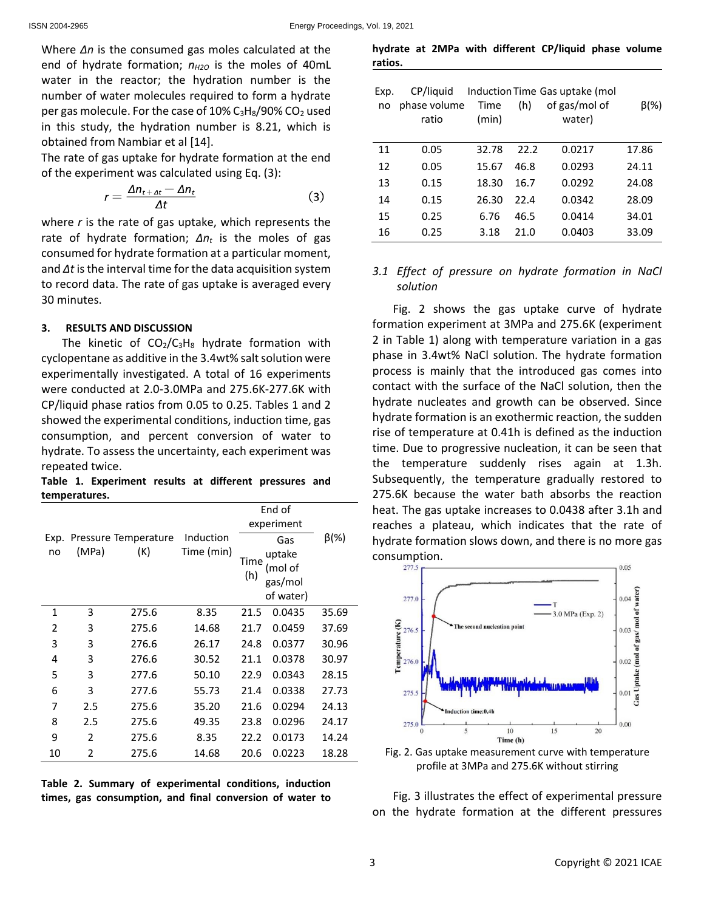Where *Δn* is the consumed gas moles calculated at the end of hydrate formation;  $n_{H2O}$  is the moles of 40mL water in the reactor; the hydration number is the number of water molecules required to form a hydrate per gas molecule. For the case of  $10\%$  C<sub>3</sub>H<sub>8</sub>/90% CO<sub>2</sub> used in this study, the hydration number is 8.21, which is obtained from Nambiar et al [14].

The rate of gas uptake for hydrate formation at the end of the experiment was calculated using Eq. (3):

$$
r = \frac{\Delta n_{t + \Delta t} - \Delta n_t}{\Delta t} \tag{3}
$$

where *r* is the rate of gas uptake, which represents the rate of hydrate formation; *Δn<sup>t</sup>* is the moles of gas consumed for hydrate formation at a particular moment, and *Δt* is the interval time for the data acquisition system to record data. The rate of gas uptake is averaged every 30 minutes.

## **3. RESULTS AND DISCUSSION**

The kinetic of  $CO<sub>2</sub>/C<sub>3</sub>H<sub>8</sub>$  hydrate formation with cyclopentane as additive in the 3.4wt% salt solution were experimentally investigated. A total of 16 experiments were conducted at 2.0-3.0MPa and 275.6K-277.6K with CP/liquid phase ratios from 0.05 to 0.25. Tables 1 and 2 showed the experimental conditions, induction time, gas consumption, and percent conversion of water to hydrate. To assess the uncertainty, each experiment was repeated twice.

**Table 1. Experiment results at different pressures and temperatures.**

|            |               |                             |                         | End of<br>experiment |                                                  |             |
|------------|---------------|-----------------------------|-------------------------|----------------------|--------------------------------------------------|-------------|
| Exp.<br>no | (MPa)         | Pressure Temperature<br>(K) | Induction<br>Time (min) | Time<br>(h)          | Gas<br>uptake<br>(mol of<br>gas/mol<br>of water) | $\beta$ (%) |
| 1          | 3             | 275.6                       | 8.35                    | 21.5                 | 0.0435                                           | 35.69       |
| 2          | 3             | 275.6                       | 14.68                   | 21.7                 | 0.0459                                           | 37.69       |
| 3          | 3             | 276.6                       | 26.17                   | 24.8                 | 0.0377                                           | 30.96       |
| 4          | 3             | 276.6                       | 30.52                   | 21.1                 | 0.0378                                           | 30.97       |
| 5          | 3             | 277.6                       | 50.10                   | 22.9                 | 0.0343                                           | 28.15       |
| 6          | 3             | 277.6                       | 55.73                   | 21.4                 | 0.0338                                           | 27.73       |
| 7          | 2.5           | 275.6                       | 35.20                   | 21.6                 | 0.0294                                           | 24.13       |
| 8          | 2.5           | 275.6                       | 49.35                   | 23.8                 | 0.0296                                           | 24.17       |
| 9          | $\mathfrak z$ | 275.6                       | 8.35                    | 22.2                 | 0.0173                                           | 14.24       |
| 10         | 2             | 275.6                       | 14.68                   | 20.6                 | 0.0223                                           | 18.28       |

**Table 2. Summary of experimental conditions, induction times, gas consumption, and final conversion of water to** 

**hydrate at 2MPa with different CP/liquid phase volume ratios.**

| Exp.<br>no | CP/liquid<br>phase volume<br>ratio | Time<br>(min) | (h)  | Induction Time Gas uptake (mol<br>of gas/mol of<br>water) | $\beta$ (%) |
|------------|------------------------------------|---------------|------|-----------------------------------------------------------|-------------|
| 11         | 0.05                               | 32.78         | 22.2 | 0.0217                                                    | 17.86       |
| 12         | 0.05                               | 15.67         | 46.8 | 0.0293                                                    | 24.11       |
| 13         | 0.15                               | 18.30         | 16.7 | 0.0292                                                    | 24.08       |
| 14         | 0.15                               | 26.30         | 22 A | 0.0342                                                    | 28.09       |
| 15         | 0.25                               | 6.76          | 46.5 | 0.0414                                                    | 34.01       |
| 16         | 0.25                               | 3.18          | 21.0 | 0.0403                                                    | 33.09       |

## *3.1 Effect of pressure on hydrate formation in NaCl solution*

Fig. 2 shows the gas uptake curve of hydrate formation experiment at 3MPa and 275.6K (experiment 2 in Table 1) along with temperature variation in a gas phase in 3.4wt% NaCl solution. The hydrate formation process is mainly that the introduced gas comes into contact with the surface of the NaCl solution, then the hydrate nucleates and growth can be observed. Since hydrate formation is an exothermic reaction, the sudden rise of temperature at 0.41h is defined as the induction time. Due to progressive nucleation, it can be seen that the temperature suddenly rises again at 1.3h. Subsequently, the temperature gradually restored to 275.6K because the water bath absorbs the reaction heat. The gas uptake increases to 0.0438 after 3.1h and reaches a plateau, which indicates that the rate of hydrate formation slows down, and there is no more gas consumption.



Fig. 2. Gas uptake measurement curve with temperature profile at 3MPa and 275.6K without stirring

Fig. 3 illustrates the effect of experimental pressure on the hydrate formation at the different pressures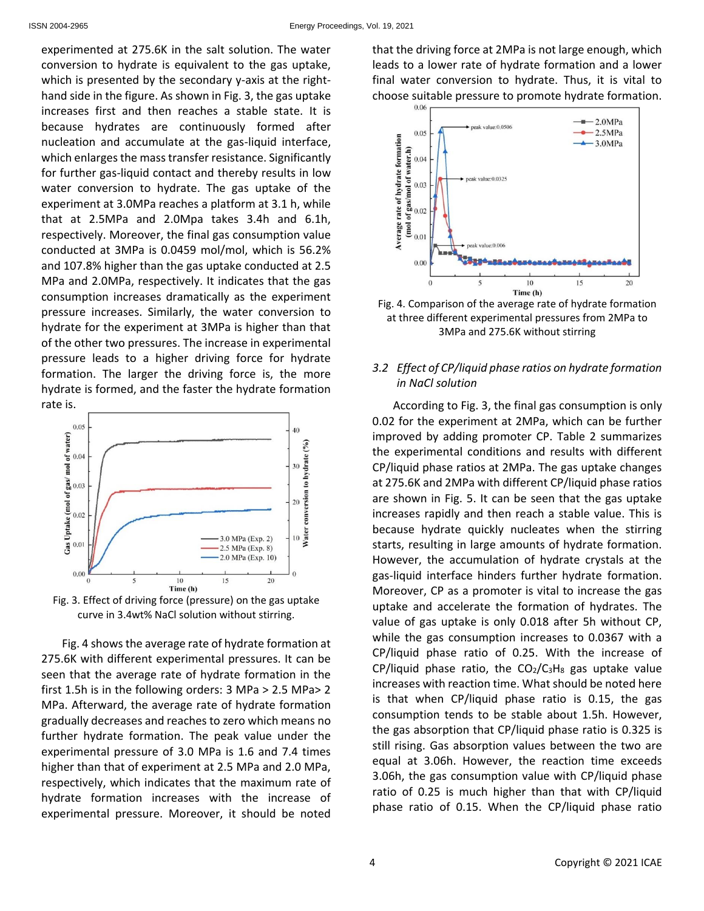experimented at 275.6K in the salt solution. The water conversion to hydrate is equivalent to the gas uptake, which is presented by the secondary y-axis at the righthand side in the figure. As shown in Fig. 3, the gas uptake increases first and then reaches a stable state. It is because hydrates are continuously formed after nucleation and accumulate at the gas-liquid interface, which enlarges the mass transfer resistance. Significantly for further gas-liquid contact and thereby results in low water conversion to hydrate. The gas uptake of the experiment at 3.0MPa reaches a platform at 3.1 h, while that at 2.5MPa and 2.0Mpa takes 3.4h and 6.1h, respectively. Moreover, the final gas consumption value conducted at 3MPa is 0.0459 mol/mol, which is 56.2% and 107.8% higher than the gas uptake conducted at 2.5 MPa and 2.0MPa, respectively. It indicates that the gas consumption increases dramatically as the experiment pressure increases. Similarly, the water conversion to hydrate for the experiment at 3MPa is higher than that of the other two pressures. The increase in experimental pressure leads to a higher driving force for hydrate formation. The larger the driving force is, the more hydrate is formed, and the faster the hydrate formation rate is.



Fig. 3. Effect of driving force (pressure) on the gas uptake curve in 3.4wt% NaCl solution without stirring.

Fig. 4 shows the average rate of hydrate formation at 275.6K with different experimental pressures. It can be seen that the average rate of hydrate formation in the first 1.5h is in the following orders: 3 MPa > 2.5 MPa> 2 MPa. Afterward, the average rate of hydrate formation gradually decreases and reaches to zero which means no further hydrate formation. The peak value under the experimental pressure of 3.0 MPa is 1.6 and 7.4 times higher than that of experiment at 2.5 MPa and 2.0 MPa, respectively, which indicates that the maximum rate of hydrate formation increases with the increase of experimental pressure. Moreover, it should be noted that the driving force at 2MPa is not large enough, which leads to a lower rate of hydrate formation and a lower final water conversion to hydrate. Thus, it is vital to choose suitable pressure to promote hydrate formation.



Fig. 4. Comparison of the average rate of hydrate formation at three different experimental pressures from 2MPa to 3MPa and 275.6K without stirring

## *3.2 Effect of CP/liquid phase ratios on hydrate formation in NaCl solution*

According to Fig. 3, the final gas consumption is only 0.02 for the experiment at 2MPa, which can be further improved by adding promoter CP. Table 2 summarizes the experimental conditions and results with different CP/liquid phase ratios at 2MPa. The gas uptake changes at 275.6K and 2MPa with different CP/liquid phase ratios are shown in Fig. 5. It can be seen that the gas uptake increases rapidly and then reach a stable value. This is because hydrate quickly nucleates when the stirring starts, resulting in large amounts of hydrate formation. However, the accumulation of hydrate crystals at the gas-liquid interface hinders further hydrate formation. Moreover, CP as a promoter is vital to increase the gas uptake and accelerate the formation of hydrates. The value of gas uptake is only 0.018 after 5h without CP, while the gas consumption increases to 0.0367 with a CP/liquid phase ratio of 0.25. With the increase of CP/liquid phase ratio, the  $CO<sub>2</sub>/C<sub>3</sub>H<sub>8</sub>$  gas uptake value increases with reaction time. What should be noted here is that when CP/liquid phase ratio is 0.15, the gas consumption tends to be stable about 1.5h. However, the gas absorption that CP/liquid phase ratio is 0.325 is still rising. Gas absorption values between the two are equal at 3.06h. However, the reaction time exceeds 3.06h, the gas consumption value with CP/liquid phase ratio of 0.25 is much higher than that with CP/liquid phase ratio of 0.15. When the CP/liquid phase ratio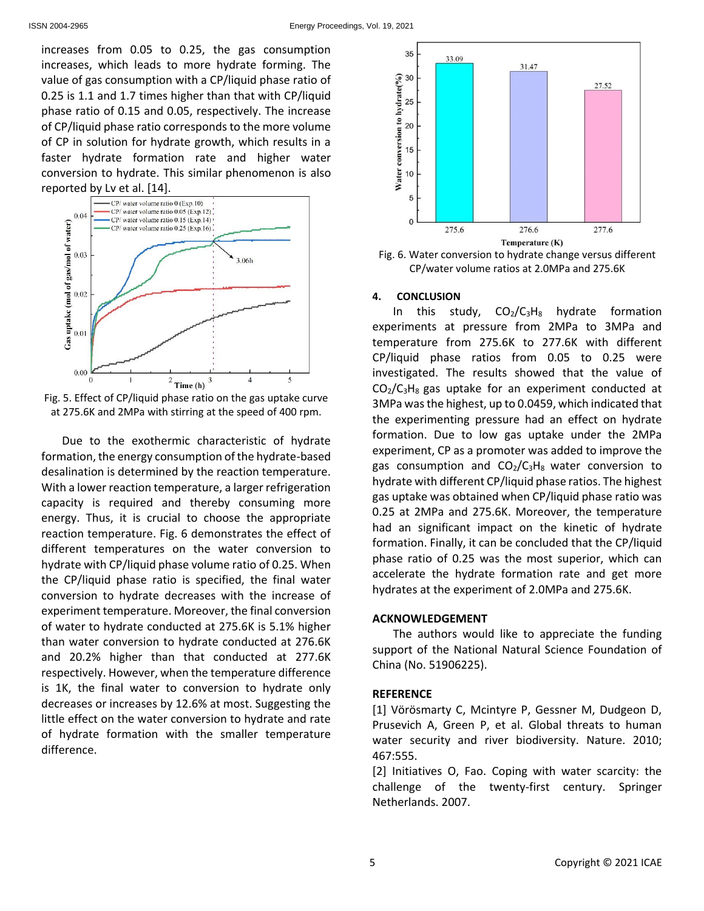increases from 0.05 to 0.25, the gas consumption increases, which leads to more hydrate forming. The value of gas consumption with a CP/liquid phase ratio of 0.25 is 1.1 and 1.7 times higher than that with CP/liquid phase ratio of 0.15 and 0.05, respectively. The increase of CP/liquid phase ratio corresponds to the more volume of CP in solution for hydrate growth, which results in a faster hydrate formation rate and higher water conversion to hydrate. This similar phenomenon is also reported by Lv et al. [14].



Fig. 5. Effect of CP/liquid phase ratio on the gas uptake curve at 275.6K and 2MPa with stirring at the speed of 400 rpm.

Due to the exothermic characteristic of hydrate formation, the energy consumption of the hydrate-based desalination is determined by the reaction temperature. With a lower reaction temperature, a larger refrigeration capacity is required and thereby consuming more energy. Thus, it is crucial to choose the appropriate reaction temperature. Fig. 6 demonstrates the effect of different temperatures on the water conversion to hydrate with CP/liquid phase volume ratio of 0.25. When the CP/liquid phase ratio is specified, the final water conversion to hydrate decreases with the increase of experiment temperature. Moreover, the final conversion of water to hydrate conducted at 275.6K is 5.1% higher than water conversion to hydrate conducted at 276.6K and 20.2% higher than that conducted at 277.6K respectively. However, when the temperature difference is 1K, the final water to conversion to hydrate only decreases or increases by 12.6% at most. Suggesting the little effect on the water conversion to hydrate and rate of hydrate formation with the smaller temperature difference.



Fig. 6. Water conversion to hydrate change versus different CP/water volume ratios at 2.0MPa and 275.6K

#### **4. CONCLUSION**

In this study,  $CO<sub>2</sub>/C<sub>3</sub>H<sub>8</sub>$  hydrate formation experiments at pressure from 2MPa to 3MPa and temperature from 275.6K to 277.6K with different CP/liquid phase ratios from 0.05 to 0.25 were investigated. The results showed that the value of  $CO<sub>2</sub>/C<sub>3</sub>H<sub>8</sub>$  gas uptake for an experiment conducted at 3MPa was the highest, up to 0.0459, which indicated that the experimenting pressure had an effect on hydrate formation. Due to low gas uptake under the 2MPa experiment, CP as a promoter was added to improve the gas consumption and  $CO<sub>2</sub>/C<sub>3</sub>H<sub>8</sub>$  water conversion to hydrate with different CP/liquid phase ratios. The highest gas uptake was obtained when CP/liquid phase ratio was 0.25 at 2MPa and 275.6K. Moreover, the temperature had an significant impact on the kinetic of hydrate formation. Finally, it can be concluded that the CP/liquid phase ratio of 0.25 was the most superior, which can accelerate the hydrate formation rate and get more hydrates at the experiment of 2.0MPa and 275.6K.

#### **ACKNOWLEDGEMENT**

The authors would like to appreciate the funding support of the National Natural Science Foundation of China (No. 51906225).

#### **REFERENCE**

[1] Vörösmarty C, Mcintyre P, Gessner M, Dudgeon D, Prusevich A, Green P, et al. Global threats to human water security and river biodiversity. Nature. 2010; 467:555.

[2] Initiatives O, Fao. Coping with water scarcity: the challenge of the twenty-first century. Springer Netherlands. 2007.